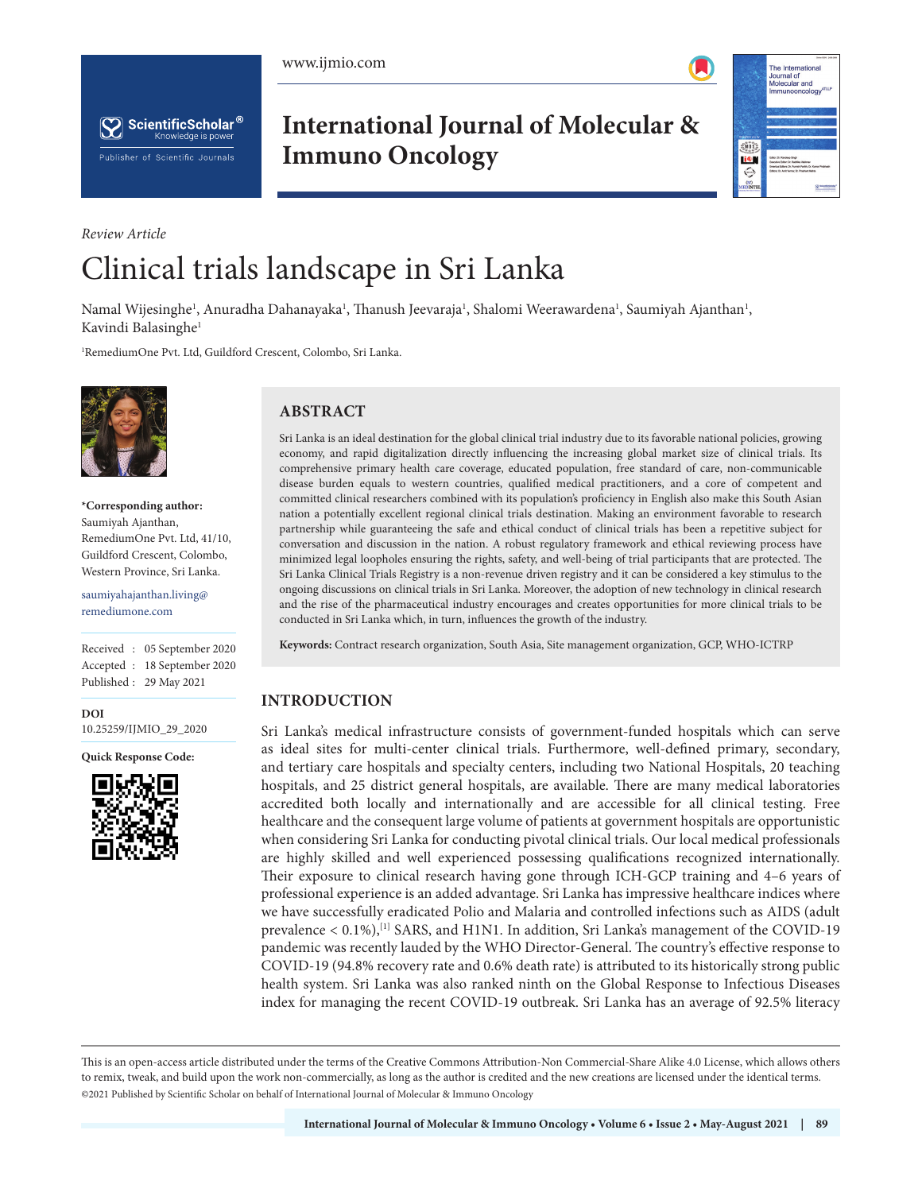



**International Journal of Molecular & Immuno Oncology**



# *Review Article* Clinical trials landscape in Sri Lanka

Namal Wijesinghe<sup>1</sup>, Anuradha Dahanayaka<sup>1</sup>, Thanush Jeevaraja<sup>1</sup>, Shalomi Weerawardena<sup>1</sup>, Saumiyah Ajanthan<sup>1</sup>, Kavindi Balasinghe<sup>1</sup>

1 RemediumOne Pvt. Ltd, Guildford Crescent, Colombo, Sri Lanka.



**\*Corresponding author:** Saumiyah Ajanthan, RemediumOne Pvt. Ltd, 41/10, Guildford Crescent, Colombo, Western Province, Sri Lanka.

saumiyahajanthan.living@ remediumone.com

Received : 05 September 2020 Accepted : 18 September 2020 Published : 29 May 2021

**DOI** [10.25259/IJMIO\\_29\\_2020](https://dx.doi.org/10.25259/IJMIO_29_2020)

**Quick Response Code:**



## **ABSTRACT**

Sri Lanka is an ideal destination for the global clinical trial industry due to its favorable national policies, growing economy, and rapid digitalization directly influencing the increasing global market size of clinical trials. Its comprehensive primary health care coverage, educated population, free standard of care, non-communicable disease burden equals to western countries, qualified medical practitioners, and a core of competent and committed clinical researchers combined with its population's proficiency in English also make this South Asian nation a potentially excellent regional clinical trials destination. Making an environment favorable to research partnership while guaranteeing the safe and ethical conduct of clinical trials has been a repetitive subject for conversation and discussion in the nation. A robust regulatory framework and ethical reviewing process have minimized legal loopholes ensuring the rights, safety, and well-being of trial participants that are protected. The Sri Lanka Clinical Trials Registry is a non-revenue driven registry and it can be considered a key stimulus to the ongoing discussions on clinical trials in Sri Lanka. Moreover, the adoption of new technology in clinical research and the rise of the pharmaceutical industry encourages and creates opportunities for more clinical trials to be conducted in Sri Lanka which, in turn, influences the growth of the industry.

**Keywords:** Contract research organization, South Asia, Site management organization, GCP, WHO-ICTRP

## **INTRODUCTION**

Sri Lanka's medical infrastructure consists of government-funded hospitals which can serve as ideal sites for multi-center clinical trials. Furthermore, well-defined primary, secondary, and tertiary care hospitals and specialty centers, including two National Hospitals, 20 teaching hospitals, and 25 district general hospitals, are available. There are many medical laboratories accredited both locally and internationally and are accessible for all clinical testing. Free healthcare and the consequent large volume of patients at government hospitals are opportunistic when considering Sri Lanka for conducting pivotal clinical trials. Our local medical professionals are highly skilled and well experienced possessing qualifications recognized internationally. Their exposure to clinical research having gone through ICH-GCP training and 4–6 years of professional experience is an added advantage. Sri Lanka has impressive healthcare indices where we have successfully eradicated Polio and Malaria and controlled infections such as AIDS (adult prevalence  $< 0.1\%$ , <sup>[1]</sup> SARS, and H1N1. In addition, Sri Lanka's management of the COVID-19 pandemic was recently lauded by the WHO Director-General. The country's effective response to COVID-19 (94.8% recovery rate and 0.6% death rate) is attributed to its historically strong public health system. Sri Lanka was also ranked ninth on the Global Response to Infectious Diseases index for managing the recent COVID-19 outbreak. Sri Lanka has an average of 92.5% literacy

This is an open-access article distributed under the terms of the Creative Commons Attribution-Non Commercial-Share Alike 4.0 License, which allows others to remix, tweak, and build upon the work non-commercially, as long as the author is credited and the new creations are licensed under the identical terms. ©2021 Published by Scientific Scholar on behalf of International Journal of Molecular & Immuno Oncology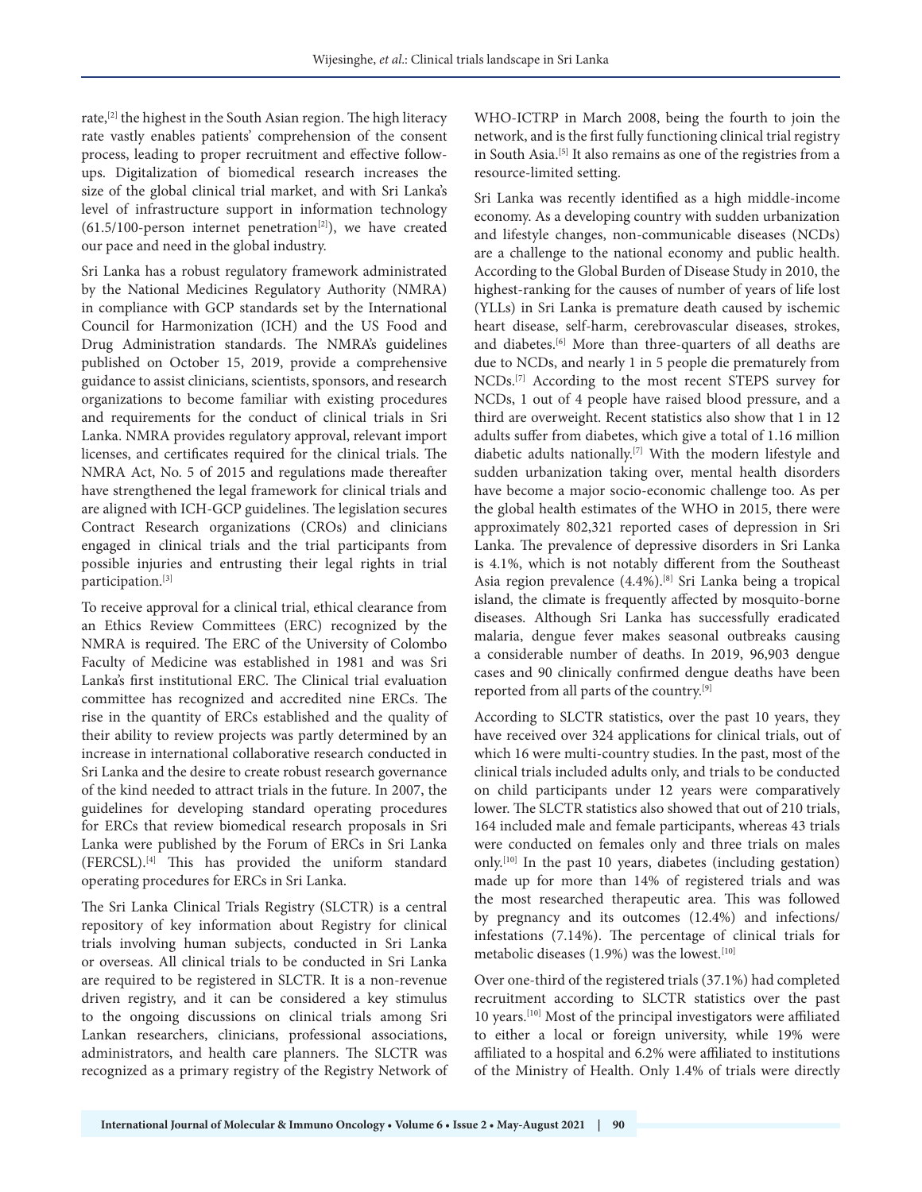rate,<sup>[2]</sup> the highest in the South Asian region. The high literacy rate vastly enables patients' comprehension of the consent process, leading to proper recruitment and effective followups. Digitalization of biomedical research increases the size of the global clinical trial market, and with Sri Lanka's level of infrastructure support in information technology  $(61.5/100$ -person internet penetration<sup>[2]</sup>), we have created our pace and need in the global industry.

Sri Lanka has a robust regulatory framework administrated by the National Medicines Regulatory Authority (NMRA) in compliance with GCP standards set by the International Council for Harmonization (ICH) and the US Food and Drug Administration standards. The NMRA's guidelines published on October 15, 2019, provide a comprehensive guidance to assist clinicians, scientists, sponsors, and research organizations to become familiar with existing procedures and requirements for the conduct of clinical trials in Sri Lanka. NMRA provides regulatory approval, relevant import licenses, and certificates required for the clinical trials. The NMRA Act, No. 5 of 2015 and regulations made thereafter have strengthened the legal framework for clinical trials and are aligned with ICH-GCP guidelines. The legislation secures Contract Research organizations (CROs) and clinicians engaged in clinical trials and the trial participants from possible injuries and entrusting their legal rights in trial participation.<sup>[3]</sup>

To receive approval for a clinical trial, ethical clearance from an Ethics Review Committees (ERC) recognized by the NMRA is required. The ERC of the University of Colombo Faculty of Medicine was established in 1981 and was Sri Lanka's first institutional ERC. The Clinical trial evaluation committee has recognized and accredited nine ERCs. The rise in the quantity of ERCs established and the quality of their ability to review projects was partly determined by an increase in international collaborative research conducted in Sri Lanka and the desire to create robust research governance of the kind needed to attract trials in the future. In 2007, the guidelines for developing standard operating procedures for ERCs that review biomedical research proposals in Sri Lanka were published by the Forum of ERCs in Sri Lanka (FERCSL).[4] This has provided the uniform standard operating procedures for ERCs in Sri Lanka.

The Sri Lanka Clinical Trials Registry (SLCTR) is a central repository of key information about Registry for clinical trials involving human subjects, conducted in Sri Lanka or overseas. All clinical trials to be conducted in Sri Lanka are required to be registered in SLCTR. It is a non-revenue driven registry, and it can be considered a key stimulus to the ongoing discussions on clinical trials among Sri Lankan researchers, clinicians, professional associations, administrators, and health care planners. The SLCTR was recognized as a primary registry of the Registry Network of WHO‐ICTRP in March 2008, being the fourth to join the network, and is the first fully functioning clinical trial registry in South Asia.[5] It also remains as one of the registries from a resource-limited setting.

Sri Lanka was recently identified as a high middle-income economy. As a developing country with sudden urbanization and lifestyle changes, non-communicable diseases (NCDs) are a challenge to the national economy and public health. According to the Global Burden of Disease Study in 2010, the highest-ranking for the causes of number of years of life lost (YLLs) in Sri Lanka is premature death caused by ischemic heart disease, self-harm, cerebrovascular diseases, strokes, and diabetes.[6] More than three-quarters of all deaths are due to NCDs, and nearly 1 in 5 people die prematurely from NCDs.[7] According to the most recent STEPS survey for NCDs, 1 out of 4 people have raised blood pressure, and a third are overweight. Recent statistics also show that 1 in 12 adults suffer from diabetes, which give a total of 1.16 million diabetic adults nationally.<sup>[7]</sup> With the modern lifestyle and sudden urbanization taking over, mental health disorders have become a major socio-economic challenge too. As per the global health estimates of the WHO in 2015, there were approximately 802,321 reported cases of depression in Sri Lanka. The prevalence of depressive disorders in Sri Lanka is 4.1%, which is not notably different from the Southeast Asia region prevalence (4.4%).[8] Sri Lanka being a tropical island, the climate is frequently affected by mosquito-borne diseases. Although Sri Lanka has successfully eradicated malaria, dengue fever makes seasonal outbreaks causing a considerable number of deaths. In 2019, 96,903 dengue cases and 90 clinically confirmed dengue deaths have been reported from all parts of the country.[9]

According to SLCTR statistics, over the past 10 years, they have received over 324 applications for clinical trials, out of which 16 were multi-country studies. In the past, most of the clinical trials included adults only, and trials to be conducted on child participants under 12 years were comparatively lower. The SLCTR statistics also showed that out of 210 trials, 164 included male and female participants, whereas 43 trials were conducted on females only and three trials on males only.[10] In the past 10 years, diabetes (including gestation) made up for more than 14% of registered trials and was the most researched therapeutic area. This was followed by pregnancy and its outcomes (12.4%) and infections/ infestations (7.14%). The percentage of clinical trials for metabolic diseases (1.9%) was the lowest.<sup>[10]</sup>

Over one-third of the registered trials (37.1%) had completed recruitment according to SLCTR statistics over the past 10 years.[10] Most of the principal investigators were affiliated to either a local or foreign university, while 19% were affiliated to a hospital and 6.2% were affiliated to institutions of the Ministry of Health. Only 1.4% of trials were directly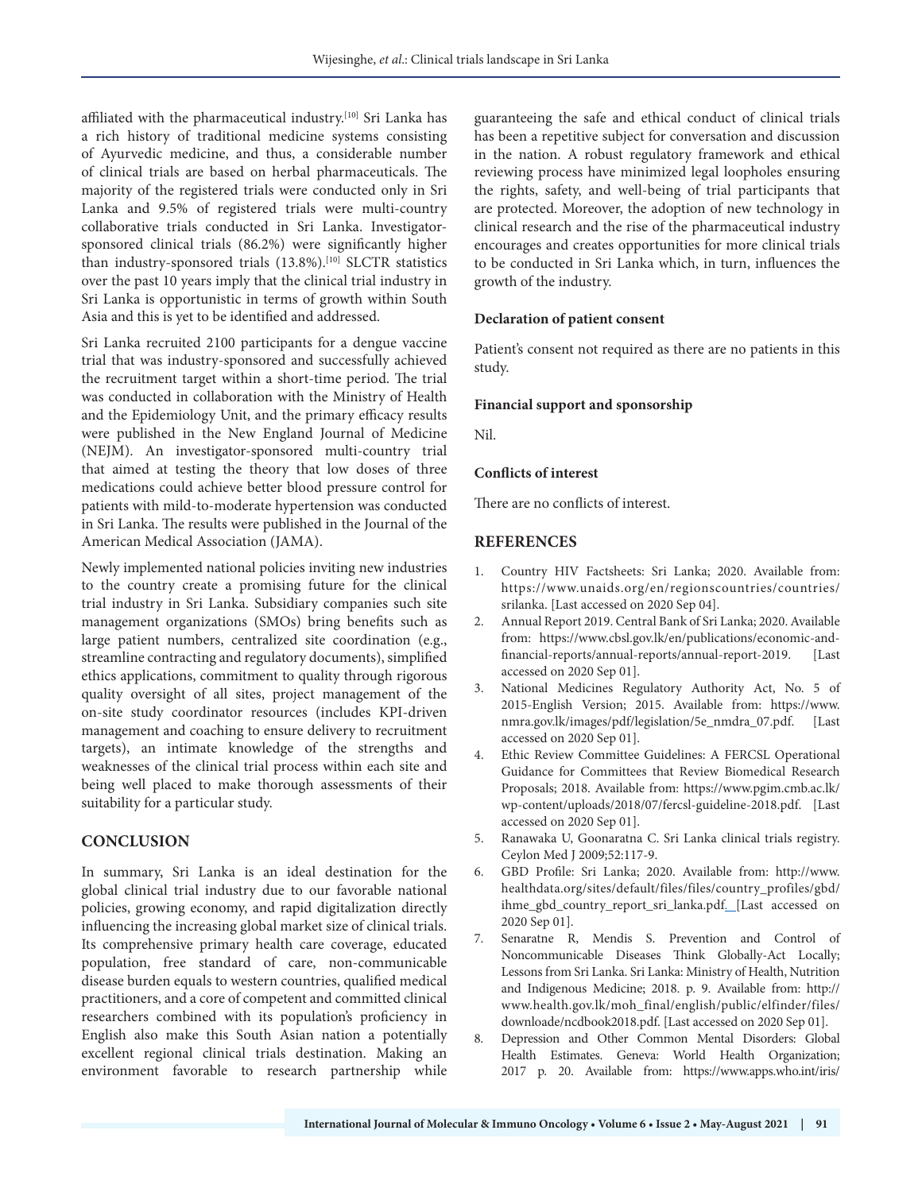affiliated with the pharmaceutical industry.<sup>[10]</sup> Sri Lanka has a rich history of traditional medicine systems consisting of Ayurvedic medicine, and thus, a considerable number of clinical trials are based on herbal pharmaceuticals. The majority of the registered trials were conducted only in Sri Lanka and 9.5% of registered trials were multi-country collaborative trials conducted in Sri Lanka. Investigatorsponsored clinical trials (86.2%) were significantly higher than industry-sponsored trials (13.8%).<sup>[10]</sup> SLCTR statistics over the past 10 years imply that the clinical trial industry in Sri Lanka is opportunistic in terms of growth within South Asia and this is yet to be identified and addressed.

Sri Lanka recruited 2100 participants for a dengue vaccine trial that was industry-sponsored and successfully achieved the recruitment target within a short-time period. The trial was conducted in collaboration with the Ministry of Health and the Epidemiology Unit, and the primary efficacy results were published in the New England Journal of Medicine (NEJM). An investigator-sponsored multi-country trial that aimed at testing the theory that low doses of three medications could achieve better blood pressure control for patients with mild-to-moderate hypertension was conducted in Sri Lanka. The results were published in the Journal of the American Medical Association (JAMA).

Newly implemented national policies inviting new industries to the country create a promising future for the clinical trial industry in Sri Lanka. Subsidiary companies such site management organizations (SMOs) bring benefits such as large patient numbers, centralized site coordination (e.g., streamline contracting and regulatory documents), simplified ethics applications, commitment to quality through rigorous quality oversight of all sites, project management of the on-site study coordinator resources (includes KPI-driven management and coaching to ensure delivery to recruitment targets), an intimate knowledge of the strengths and weaknesses of the clinical trial process within each site and being well placed to make thorough assessments of their suitability for a particular study.

## **CONCLUSION**

In summary, Sri Lanka is an ideal destination for the global clinical trial industry due to our favorable national policies, growing economy, and rapid digitalization directly influencing the increasing global market size of clinical trials. Its comprehensive primary health care coverage, educated population, free standard of care, non-communicable disease burden equals to western countries, qualified medical practitioners, and a core of competent and committed clinical researchers combined with its population's proficiency in English also make this South Asian nation a potentially excellent regional clinical trials destination. Making an environment favorable to research partnership while

guaranteeing the safe and ethical conduct of clinical trials has been a repetitive subject for conversation and discussion in the nation. A robust regulatory framework and ethical reviewing process have minimized legal loopholes ensuring the rights, safety, and well-being of trial participants that are protected. Moreover, the adoption of new technology in clinical research and the rise of the pharmaceutical industry encourages and creates opportunities for more clinical trials to be conducted in Sri Lanka which, in turn, influences the growth of the industry.

#### **Declaration of patient consent**

Patient's consent not required as there are no patients in this study.

#### **Financial support and sponsorship**

Nil.

#### **Conflicts of interest**

There are no conflicts of interest.

#### **REFERENCES**

- 1. Country HIV Factsheets: Sri Lanka; 2020. Available from: https://www.unaids.org/en/regionscountries/countries/ srilanka. [Last accessed on 2020 Sep 04].
- 2. Annual Report 2019. Central Bank of Sri Lanka; 2020. Available from: https://www.cbsl.gov.lk/en/publications/economic-andfinancial-reports/annual-reports/annual-report-2019. [Last accessed on 2020 Sep 01].
- 3. National Medicines Regulatory Authority Act, No. 5 of 2015-English Version; 2015. Available from: https://www. nmra.gov.lk/images/pdf/legislation/5e\_nmdra\_07.pdf. [Last accessed on 2020 Sep 01].
- 4. Ethic Review Committee Guidelines: A FERCSL Operational Guidance for Committees that Review Biomedical Research Proposals; 2018. Available from: https://www.pgim.cmb.ac.lk/ wp-content/uploads/2018/07/fercsl-guideline-2018.pdf. [Last accessed on 2020 Sep 01].
- 5. Ranawaka U, Goonaratna C. Sri Lanka clinical trials registry. Ceylon Med J 2009;52:117-9.
- 6. GBD Profile: Sri Lanka; 2020. Available from: http://www. healthdata.org/sites/default/files/files/country\_profiles/gbd/ ihme\_gbd\_country\_report\_sri\_lanka.pdf. [Last accessed on 2020 Sep 01].
- 7. Senaratne R, Mendis S. Prevention and Control of Noncommunicable Diseases Think Globally-Act Locally; Lessons from Sri Lanka. Sri Lanka: Ministry of Health, Nutrition and Indigenous Medicine; 2018. p. 9. Available from: http:// www.health.gov.lk/moh\_final/english/public/elfinder/files/ downloade/ncdbook2018.pdf. [Last accessed on 2020 Sep 01].
- 8. Depression and Other Common Mental Disorders: Global Health Estimates. Geneva: World Health Organization; 2017 p. 20. Available from: https://www.apps.who.int/iris/